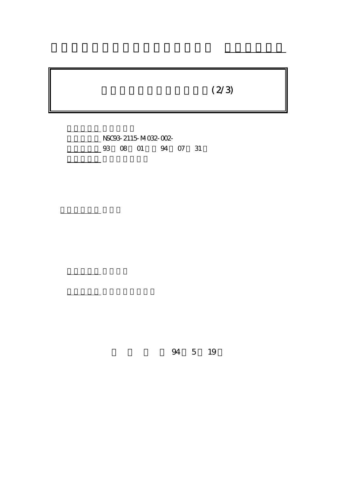## $(2/3)$

NSC93-2115-M-032-002-03 08 01 94 07 31

計畫主持人: 高金美

報告類型: 精簡報告

。<br>在前書 : 本計畫可公開查

行政院國家科學委員會專題研究計畫 期中進度報告

94 5 19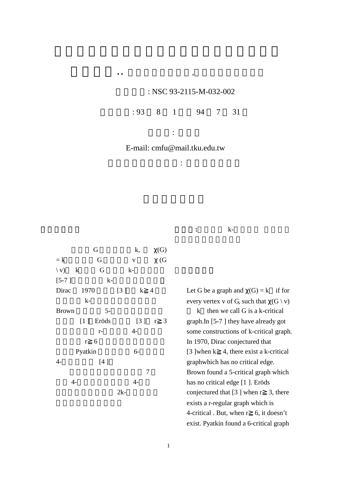## : NSC 93-2115-M-032-002

 $: 93 \quad 8 \quad 1 \quad 94 \quad 7 \quad 31$ 

E-mail: cmfu@mail.tku.edu.tw

執行機構及單位名稱: 淡江大學數學系

主持人: 高金美

 $\overline{a}$ 

G  $k, \gamma(G)$  $= k$  G v  $\chi$  (G  $\langle v \rangle$  k, G and k- $[5-7]$  k-Dirac  $1970$  [3]  $k$  4  $k-$ Brown 5- $[1]$  Eröds  $[3]$  r 3  $r-$  4 $r \quad 6$ Pyatkin 6-4- [4]  $\sim$  7  $4 2k-$  關鍵詞**:**著色數, k-臨界圖, 臨界邊,

Let G be a graph and  $\chi(G) = k$  if for every vertex v of G, such that  $\gamma(G \setminus v)$  k then we call G is a k-critical graph.In [5-7 ] they have already got some constructions of k-critical graph. In 1970, Dirac conjectured that [3 ]when  $k \neq 4$ , there exist a k-critical graphwhich has no critical edge. Brown found a 5-critical graph which has no critical edge [1 ]. Eröds conjectured that  $[3]$  when  $r \quad 3$ , there exists a r-regular graph which is 4-critical . But, when r 6, it doesn't exist. Pyatkin found a 6-critical graph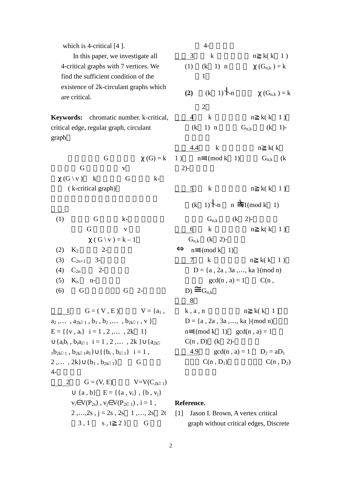| which is 4-critical $[4]$ .                                             | $4-$                                                                       |
|-------------------------------------------------------------------------|----------------------------------------------------------------------------|
| In this paper, we investigate all                                       | 3<br>$\bf k$<br>$n \ k(k \ 1)$                                             |
| 4-critical graphs with 7 vertices. We                                   | $(k \quad 1) \mid n$<br>(1)<br>$\chi(G_{n,k})=k$                           |
| find the sufficient condition of the                                    | $\mathbf{1}$                                                               |
| existence of 2k-circulant graphs which                                  |                                                                            |
| are critical.                                                           | $(k \ 1)$ n<br>(2)<br>$\chi(G_{n,k})=k$                                    |
|                                                                         | $\overline{2}$                                                             |
| <b>Keywords:</b> chromatic number. k-critical,                          | $\bf k$<br>$n \ k(k \ 1)$<br>$\overline{4}$                                |
| critical edge, regular graph, circulant                                 | $1)$   n<br>$\left( \mathrm{k}\right)$<br>$G_{n,k}$<br>$(k \ 1)$ -         |
| graph                                                                   |                                                                            |
|                                                                         | 4.4<br>$\bf k$<br>$n \& k$                                                 |
| G                                                                       | $\chi(G) = k \quad 1$ ) $n \equiv 1 \pmod{k} \quad 1$<br>$G_{n,k}$ (k)     |
| G<br>$\mathbf{V}$                                                       | $2) -$                                                                     |
| $\chi(G \setminus v)$ k<br>$k-$<br>G                                    |                                                                            |
| (k-critical graph)                                                      | 5<br>$\bf k$<br>$n \ k(k \ 1)$                                             |
|                                                                         | $(k \t1)$ $\uparrow$ n $\equiv$ 1(mod k 1)                                 |
| (1)<br>G<br>$k-$                                                        | $G_{n,k}$ (k 2)-                                                           |
| G<br>$\mathbf{V}$                                                       | $\bf k$<br>$n \ k(k \ 1)$<br>6                                             |
| $\chi$ (G \v ) = k – 1                                                  | $G_{n,k}$ (k 2)-                                                           |
| $2 -$<br>(2)<br>$K_2$                                                   | $\Leftrightarrow$ n=1(mod k 1)                                             |
| (3)<br>$C_{2n+1}$ 3-                                                    | $7\degree$<br>$\bf k$<br>$n \ k(k \ 1)$                                    |
| (4)<br>$C_{2n}$<br>$2 -$                                                | $D = \{a, 2a, 3a, , k a\} \pmod{n}$                                        |
| (5)<br>$K_n$<br>$n-$                                                    | $gcd(n, a) = 1$<br>C(n,                                                    |
| G<br>(6)<br>G<br>$2 -$                                                  | $D) \equiv G_{n,k}$                                                        |
|                                                                         | 8                                                                          |
| $1 \t G = (V, E) \t V = \{a_1,$                                         | $k, a, n$ $n k(k 1)$                                                       |
| $a_2$ , , $a_{2k-1}$ , $b_1$ , $b_2$ , , $b_{2k-1}$ , v }               | $D = \{a, 2a, 3a, , k a\} \pmod{n}$                                        |
| $E = \{ \{v, a_i\}   i = 1, 2, \dots, 2k \quad 1 \}$                    | $n \equiv 1 \pmod{k}$ 1) $\gcd(n, a) = 1$                                  |
| $\bigcup \{a_i b_i, b_i a_{i-1}   i = 1, 2, , 2k \} \bigcup \{a_{2k}\}$ | $C(n, D)$ (k 2)-                                                           |
| $_{1}b_{2k-1}$ , $b_{2k-1}a_{1}\}\cup\{b_{i}, b_{i-1}\}\vert i=1$ ,     | 4.9 $gcd(n, a) = 1$ $D_2 = aD_1$                                           |
| 2, $2k\cup \{b_1, b_{2k-1}\}$ G                                         | $C(n, D_1)$ $C(n, D_2)$                                                    |
| $4-$                                                                    |                                                                            |
| 2 $G = (V, E)$ $V = V(C_{2k-1})$                                        |                                                                            |
| $\cup$ {a, b} E = {{a, v <sub>i</sub> }, {b, v <sub>i</sub> }           |                                                                            |
| $v_i \in V(P_{2s})$ , $v_j \in V(P_{2t-1})$ , $i = 1$ ,                 | Reference.                                                                 |
|                                                                         | 2, $2s$ , $j = 2s$ , $2s$ 1, $2s$ 2t [1] Jason I. Brown, A vertex critical |
| $3, 1$ s, t 2 } G                                                       | graph without critical edges, Discrete                                     |